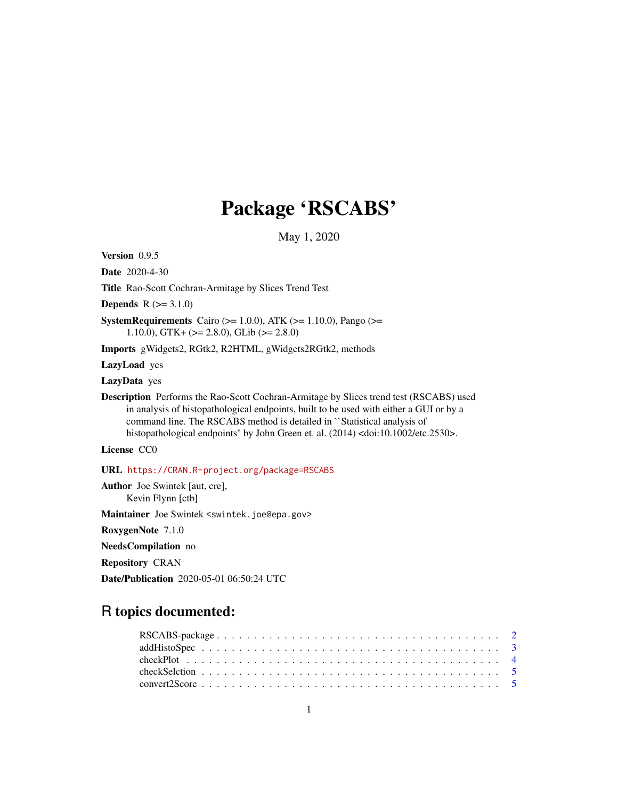# Package 'RSCABS'

May 1, 2020

<span id="page-0-0"></span>Version 0.9.5

Date 2020-4-30

Title Rao-Scott Cochran-Armitage by Slices Trend Test

**Depends**  $R (= 3.1.0)$ 

SystemRequirements Cairo ( $>= 1.0.0$ ), ATK ( $>= 1.10.0$ ), Pango ( $>=$ 1.10.0), GTK +  $(>= 2.8.0)$ , GLib  $(>= 2.8.0)$ 

Imports gWidgets2, RGtk2, R2HTML, gWidgets2RGtk2, methods

LazyLoad yes

LazyData yes

Description Performs the Rao-Scott Cochran-Armitage by Slices trend test (RSCABS) used in analysis of histopathological endpoints, built to be used with either a GUI or by a command line. The RSCABS method is detailed in ``Statistical analysis of histopathological endpoints" by John Green et. al. (2014) <doi:10.1002/etc.2530>.

License CC0

URL <https://CRAN.R-project.org/package=RSCABS>

Author Joe Swintek [aut, cre], Kevin Flynn [ctb]

Maintainer Joe Swintek <swintek.joe@epa.gov>

RoxygenNote 7.1.0

NeedsCompilation no

Repository CRAN

Date/Publication 2020-05-01 06:50:24 UTC

# R topics documented: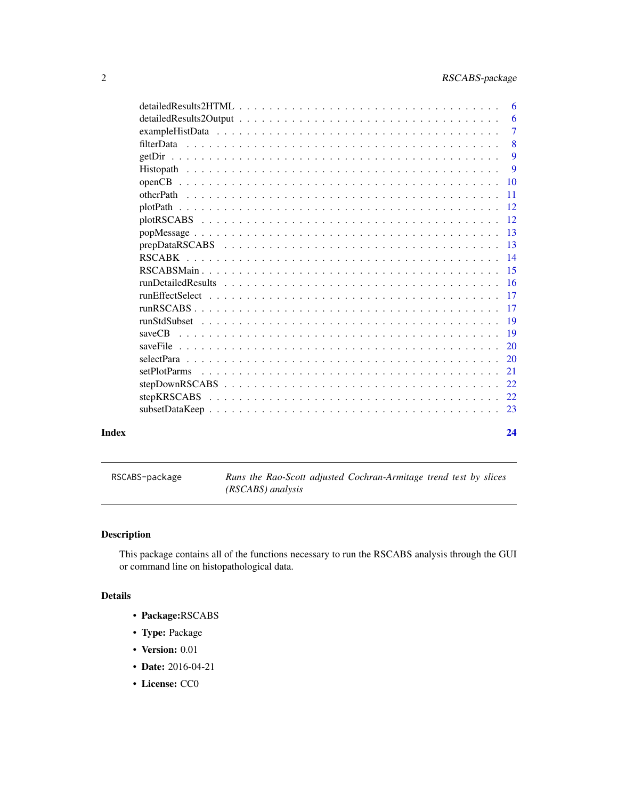<span id="page-1-0"></span>

|       | -6              |
|-------|-----------------|
|       | -6              |
|       | $\overline{7}$  |
|       | 8               |
|       | 9               |
|       | 9               |
|       | $\overline{10}$ |
|       |                 |
|       |                 |
|       |                 |
|       |                 |
|       |                 |
|       |                 |
|       |                 |
|       |                 |
|       |                 |
|       |                 |
|       |                 |
|       |                 |
|       |                 |
|       |                 |
|       |                 |
|       |                 |
|       |                 |
|       |                 |
| Index | 24              |

RSCABS-package *Runs the Rao-Scott adjusted Cochran-Armitage trend test by slices (RSCABS) analysis*

# Description

This package contains all of the functions necessary to run the RSCABS analysis through the GUI or command line on histopathological data.

# Details

- Package:RSCABS
- Type: Package
- Version: 0.01
- Date: 2016-04-21
- License: CC0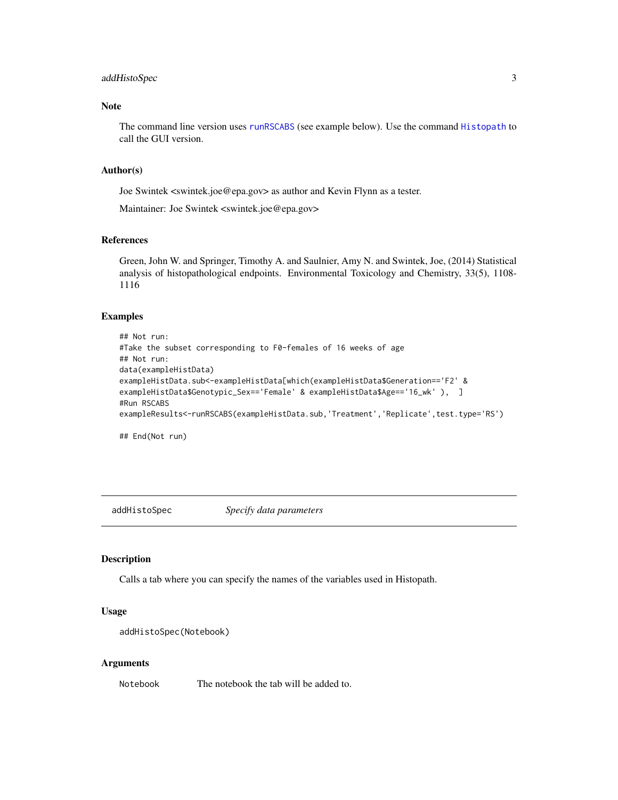# <span id="page-2-0"></span>addHistoSpec 3

#### Note

The command line version uses [runRSCABS](#page-16-1) (see example below). Use the command [Histopath](#page-8-1) to call the GUI version.

#### Author(s)

Joe Swintek <swintek.joe@epa.gov> as author and Kevin Flynn as a tester.

Maintainer: Joe Swintek <swintek.joe@epa.gov>

### References

Green, John W. and Springer, Timothy A. and Saulnier, Amy N. and Swintek, Joe, (2014) Statistical analysis of histopathological endpoints. Environmental Toxicology and Chemistry, 33(5), 1108- 1116

# Examples

```
## Not run:
#Take the subset corresponding to F0-females of 16 weeks of age
## Not run:
data(exampleHistData)
exampleHistData.sub<-exampleHistData[which(exampleHistData$Generation=='F2' &
exampleHistData$Genotypic_Sex=='Female' & exampleHistData$Age=='16_wk' ), ]
#Run RSCABS
exampleResults<-runRSCABS(exampleHistData.sub,'Treatment','Replicate',test.type='RS')
```
## End(Not run)

<span id="page-2-1"></span>addHistoSpec *Specify data parameters*

#### Description

Calls a tab where you can specify the names of the variables used in Histopath.

#### Usage

```
addHistoSpec(Notebook)
```
#### Arguments

Notebook The notebook the tab will be added to.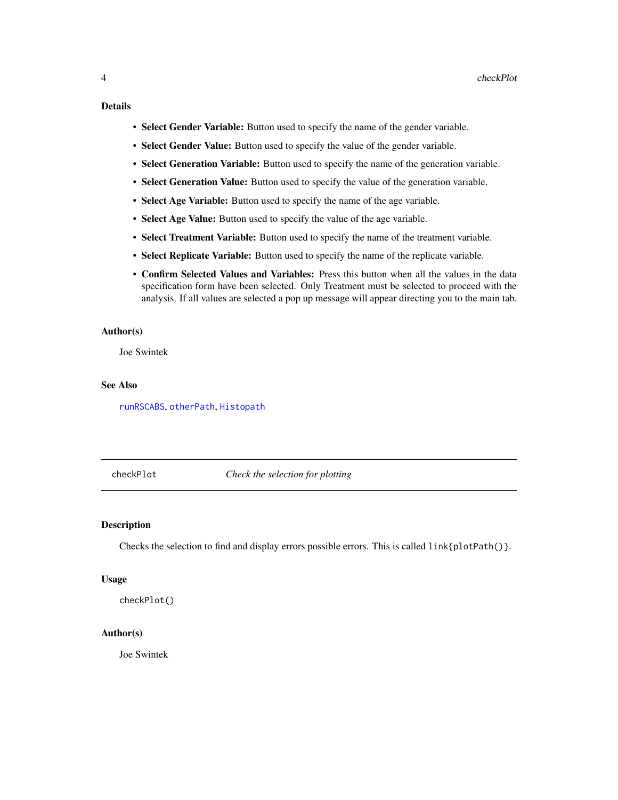# <span id="page-3-0"></span>Details

- Select Gender Variable: Button used to specify the name of the gender variable.
- Select Gender Value: Button used to specify the value of the gender variable.
- Select Generation Variable: Button used to specify the name of the generation variable.
- Select Generation Value: Button used to specify the value of the generation variable.
- Select Age Variable: Button used to specify the name of the age variable.
- Select Age Value: Button used to specify the value of the age variable.
- Select Treatment Variable: Button used to specify the name of the treatment variable.
- Select Replicate Variable: Button used to specify the name of the replicate variable.
- Confirm Selected Values and Variables: Press this button when all the values in the data specification form have been selected. Only Treatment must be selected to proceed with the analysis. If all values are selected a pop up message will appear directing you to the main tab.

# Author(s)

Joe Swintek

#### See Also

[runRSCABS](#page-16-1), [otherPath](#page-10-1), [Histopath](#page-8-1)

checkPlot *Check the selection for plotting*

#### Description

Checks the selection to find and display errors possible errors. This is called link{plotPath()}.

#### Usage

checkPlot()

#### Author(s)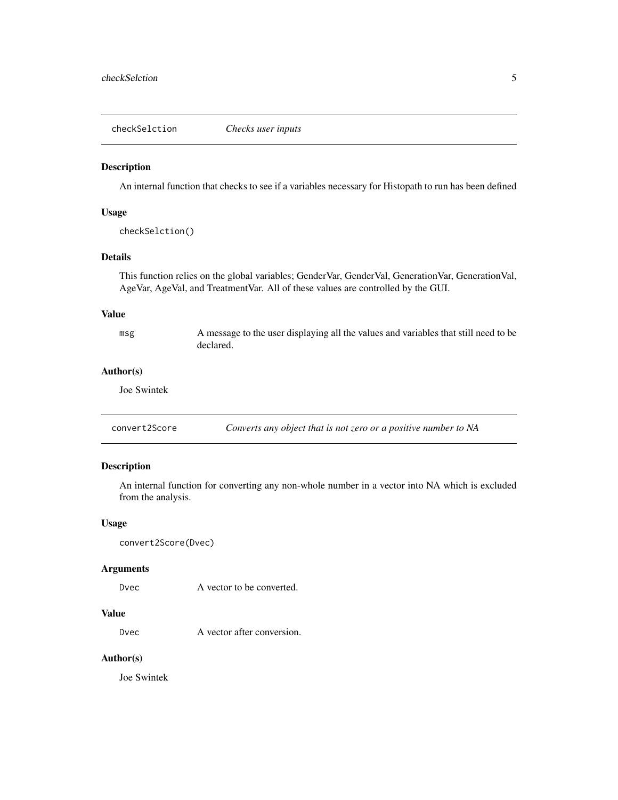<span id="page-4-1"></span><span id="page-4-0"></span>checkSelction *Checks user inputs*

#### Description

An internal function that checks to see if a variables necessary for Histopath to run has been defined

# Usage

```
checkSelction()
```
#### Details

This function relies on the global variables; GenderVar, GenderVal, GenerationVar, GenerationVal, AgeVar, AgeVal, and TreatmentVar. All of these values are controlled by the GUI.

#### Value

msg A message to the user displaying all the values and variables that still need to be declared.

# Author(s)

Joe Swintek

| convert2Score | Converts any object that is not zero or a positive number to NA |  |
|---------------|-----------------------------------------------------------------|--|
|---------------|-----------------------------------------------------------------|--|

# Description

An internal function for converting any non-whole number in a vector into NA which is excluded from the analysis.

# Usage

```
convert2Score(Dvec)
```
#### Arguments

Dvec A vector to be converted.

#### Value

Dvec A vector after conversion.

#### Author(s)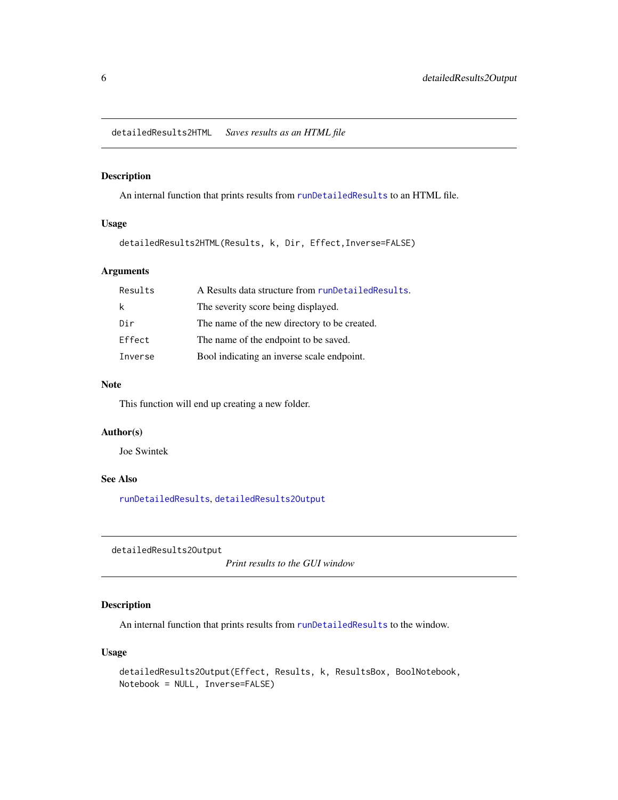<span id="page-5-2"></span><span id="page-5-0"></span>detailedResults2HTML *Saves results as an HTML file*

# Description

An internal function that prints results from [runDetailedResults](#page-15-1) to an HTML file.

#### Usage

```
detailedResults2HTML(Results, k, Dir, Effect,Inverse=FALSE)
```
#### Arguments

| Results | A Results data structure from runDetailedResults. |
|---------|---------------------------------------------------|
| k       | The severity score being displayed.               |
| Dir     | The name of the new directory to be created.      |
| Effect  | The name of the endpoint to be saved.             |
| Inverse | Bool indicating an inverse scale endpoint.        |

# Note

This function will end up creating a new folder.

#### Author(s)

Joe Swintek

# See Also

[runDetailedResults](#page-15-1), [detailedResults2Output](#page-5-1)

<span id="page-5-1"></span>detailedResults2Output

*Print results to the GUI window*

# Description

An internal function that prints results from [runDetailedResults](#page-15-1) to the window.

#### Usage

```
detailedResults2Output(Effect, Results, k, ResultsBox, BoolNotebook,
Notebook = NULL, Inverse=FALSE)
```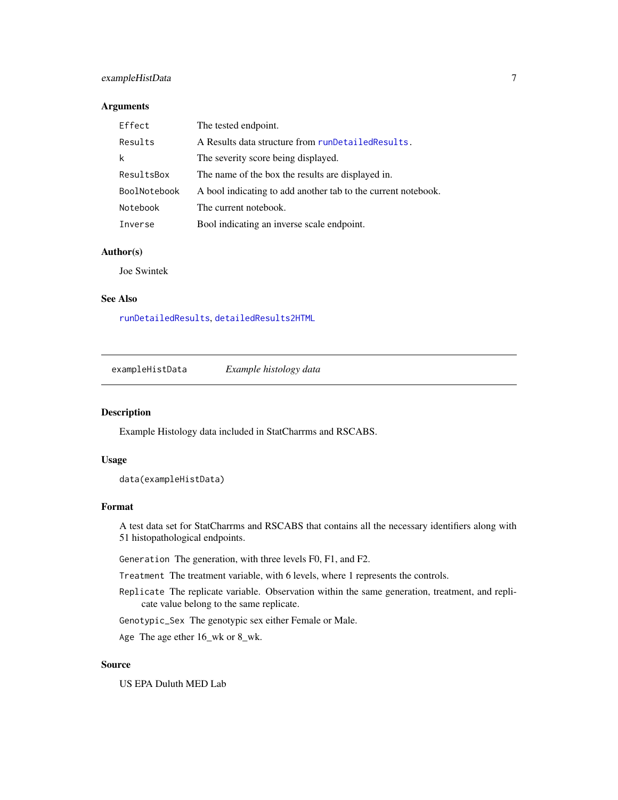# <span id="page-6-0"></span>exampleHistData 7

#### Arguments

| Effect              | The tested endpoint.                                          |
|---------------------|---------------------------------------------------------------|
| Results             | A Results data structure from runDetailedResults.             |
| k                   | The severity score being displayed.                           |
| ResultsBox          | The name of the box the results are displayed in.             |
| <b>BoolNotebook</b> | A bool indicating to add another tab to the current notebook. |
| Notebook            | The current notebook.                                         |
| Inverse             | Bool indicating an inverse scale endpoint.                    |

#### Author(s)

Joe Swintek

#### See Also

[runDetailedResults](#page-15-1), [detailedResults2HTML](#page-5-2)

exampleHistData *Example histology data*

#### Description

Example Histology data included in StatCharrms and RSCABS.

#### Usage

```
data(exampleHistData)
```
#### Format

A test data set for StatCharrms and RSCABS that contains all the necessary identifiers along with 51 histopathological endpoints.

Generation The generation, with three levels F0, F1, and F2.

Treatment The treatment variable, with 6 levels, where 1 represents the controls.

- Replicate The replicate variable. Observation within the same generation, treatment, and replicate value belong to the same replicate.
- Genotypic\_Sex The genotypic sex either Female or Male.

Age The age ether 16\_wk or 8\_wk.

#### Source

US EPA Duluth MED Lab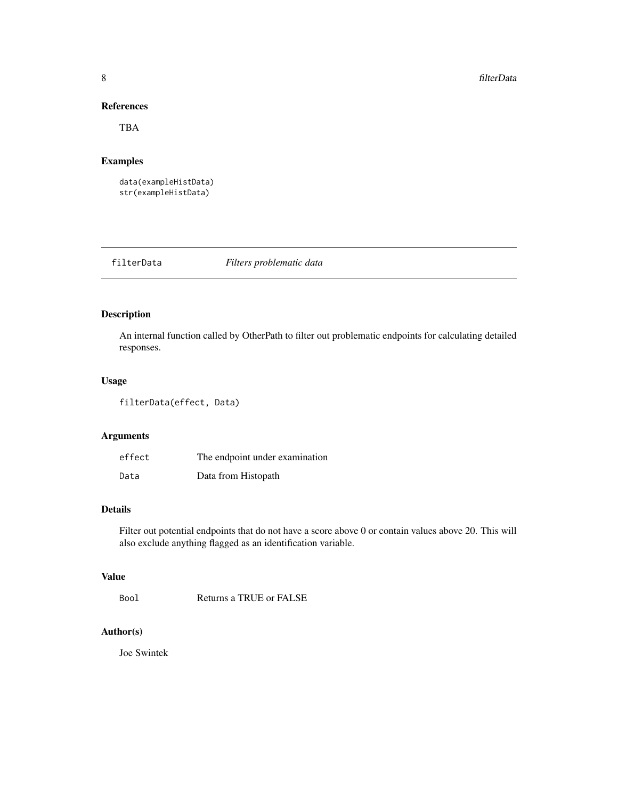# <span id="page-7-0"></span>References

TBA

# Examples

data(exampleHistData) str(exampleHistData)

filterData *Filters problematic data*

# Description

An internal function called by OtherPath to filter out problematic endpoints for calculating detailed responses.

#### Usage

filterData(effect, Data)

# Arguments

| effect | The endpoint under examination |
|--------|--------------------------------|
| Data   | Data from Histopath            |

### Details

Filter out potential endpoints that do not have a score above 0 or contain values above 20. This will also exclude anything flagged as an identification variable.

#### Value

Bool Returns a TRUE or FALSE

#### Author(s)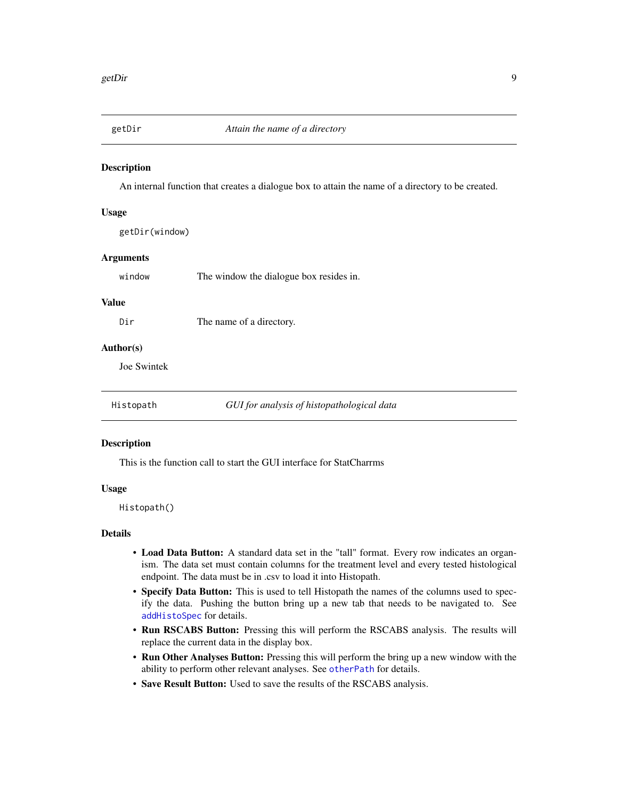<span id="page-8-0"></span>

An internal function that creates a dialogue box to attain the name of a directory to be created.

#### Usage

getDir(window)

#### Arguments

window The window the dialogue box resides in.

### Value

Dir The name of a directory.

#### Author(s)

Joe Swintek

<span id="page-8-1"></span>

Histopath *GUI for analysis of histopathological data*

#### **Description**

This is the function call to start the GUI interface for StatCharrms

# Usage

Histopath()

#### Details

- Load Data Button: A standard data set in the "tall" format. Every row indicates an organism. The data set must contain columns for the treatment level and every tested histological endpoint. The data must be in .csv to load it into Histopath.
- Specify Data Button: This is used to tell Histopath the names of the columns used to specify the data. Pushing the button bring up a new tab that needs to be navigated to. See [addHistoSpec](#page-2-1) for details.
- Run RSCABS Button: Pressing this will perform the RSCABS analysis. The results will replace the current data in the display box.
- Run Other Analyses Button: Pressing this will perform the bring up a new window with the ability to perform other relevant analyses. See [otherPath](#page-10-1) for details.
- Save Result Button: Used to save the results of the RSCABS analysis.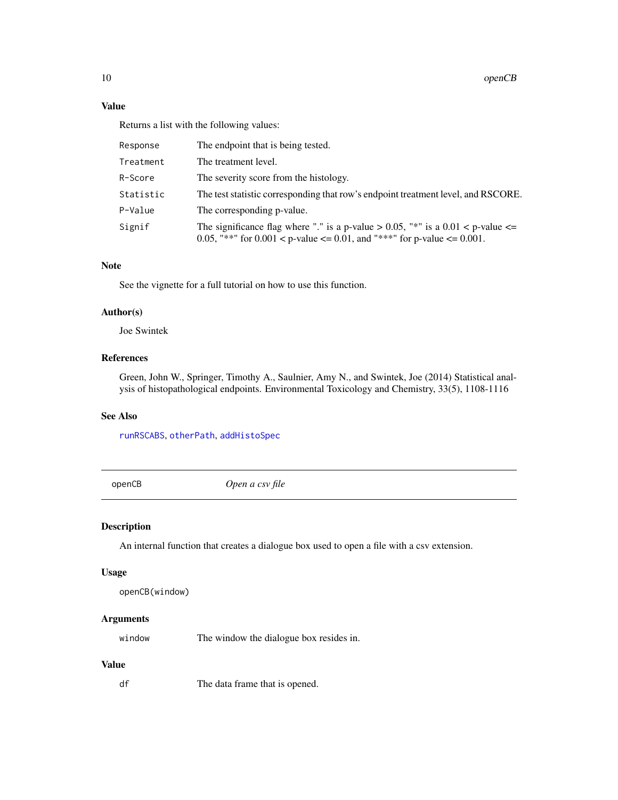# Value

Returns a list with the following values:

| Response  | The endpoint that is being tested.                                                                                                                                              |
|-----------|---------------------------------------------------------------------------------------------------------------------------------------------------------------------------------|
| Treatment | The treatment level.                                                                                                                                                            |
| R-Score   | The severity score from the histology.                                                                                                                                          |
| Statistic | The test statistic corresponding that row's endpoint treatment level, and RSCORE.                                                                                               |
| P-Value   | The corresponding p-value.                                                                                                                                                      |
| Signif    | The significance flag where "." is a p-value $> 0.05$ , "*" is a $0.01 <$ p-value $\le$<br>0.05, "**" for $0.001 < p$ -value $\leq 0.01$ , and "***" for p-value $\leq 0.001$ . |

# Note

See the vignette for a full tutorial on how to use this function.

# Author(s)

Joe Swintek

# References

Green, John W., Springer, Timothy A., Saulnier, Amy N., and Swintek, Joe (2014) Statistical analysis of histopathological endpoints. Environmental Toxicology and Chemistry, 33(5), 1108-1116

#### See Also

[runRSCABS](#page-16-1), [otherPath](#page-10-1), [addHistoSpec](#page-2-1)

openCB *Open a csv file*

#### Description

An internal function that creates a dialogue box used to open a file with a csv extension.

#### Usage

```
openCB(window)
```
# Arguments

window The window the dialogue box resides in.

#### Value

df The data frame that is opened.

<span id="page-9-0"></span>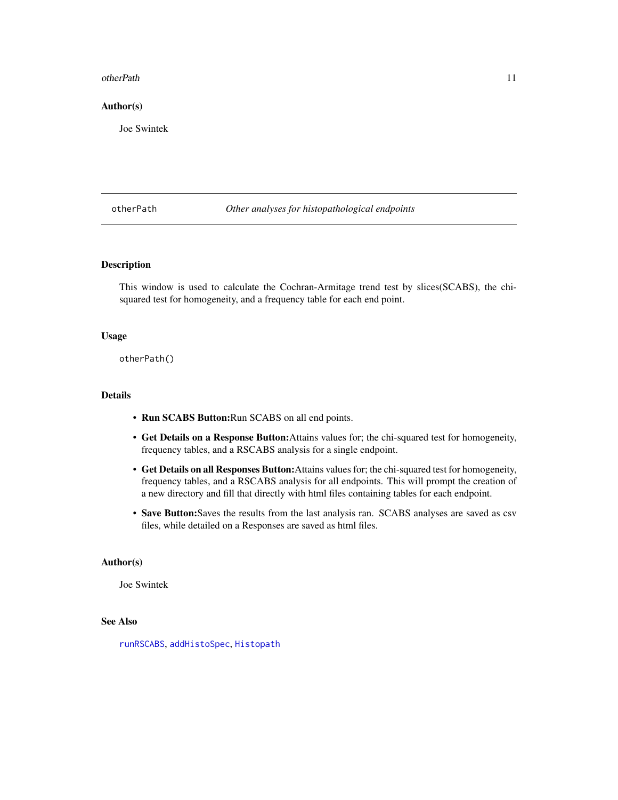#### <span id="page-10-0"></span>otherPath 11

#### Author(s)

Joe Swintek

#### <span id="page-10-1"></span>otherPath *Other analyses for histopathological endpoints*

#### Description

This window is used to calculate the Cochran-Armitage trend test by slices(SCABS), the chisquared test for homogeneity, and a frequency table for each end point.

#### Usage

otherPath()

#### Details

- Run SCABS Button:Run SCABS on all end points.
- Get Details on a Response Button:Attains values for; the chi-squared test for homogeneity, frequency tables, and a RSCABS analysis for a single endpoint.
- Get Details on all Responses Button:Attains values for; the chi-squared test for homogeneity, frequency tables, and a RSCABS analysis for all endpoints. This will prompt the creation of a new directory and fill that directly with html files containing tables for each endpoint.
- Save Button:Saves the results from the last analysis ran. SCABS analyses are saved as csv files, while detailed on a Responses are saved as html files.

#### Author(s)

Joe Swintek

# See Also

[runRSCABS](#page-16-1), [addHistoSpec](#page-2-1), [Histopath](#page-8-1)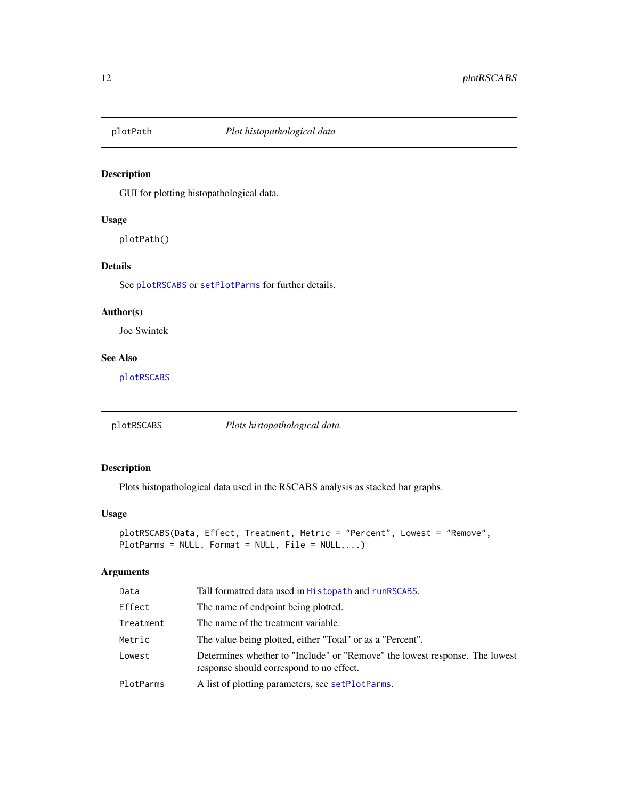<span id="page-11-0"></span>

GUI for plotting histopathological data.

# Usage

plotPath()

# Details

See [plotRSCABS](#page-11-1) or [setPlotParms](#page-20-1) for further details.

# Author(s)

Joe Swintek

# See Also

[plotRSCABS](#page-11-1)

<span id="page-11-1"></span>plotRSCABS *Plots histopathological data.*

# Description

Plots histopathological data used in the RSCABS analysis as stacked bar graphs.

# Usage

```
plotRSCABS(Data, Effect, Treatment, Metric = "Percent", Lowest = "Remove",
PlotParameters = NULL, Format = NULL, File = NULL, ...
```
# Arguments

| Data      | Tall formatted data used in Histopath and runRSCABS.                                                                    |
|-----------|-------------------------------------------------------------------------------------------------------------------------|
| Effect    | The name of endpoint being plotted.                                                                                     |
| Treatment | The name of the treatment variable.                                                                                     |
| Metric    | The value being plotted, either "Total" or as a "Percent".                                                              |
| Lowest    | Determines whether to "Include" or "Remove" the lowest response. The lowest<br>response should correspond to no effect. |
| PlotParms | A list of plotting parameters, see setPlotParms.                                                                        |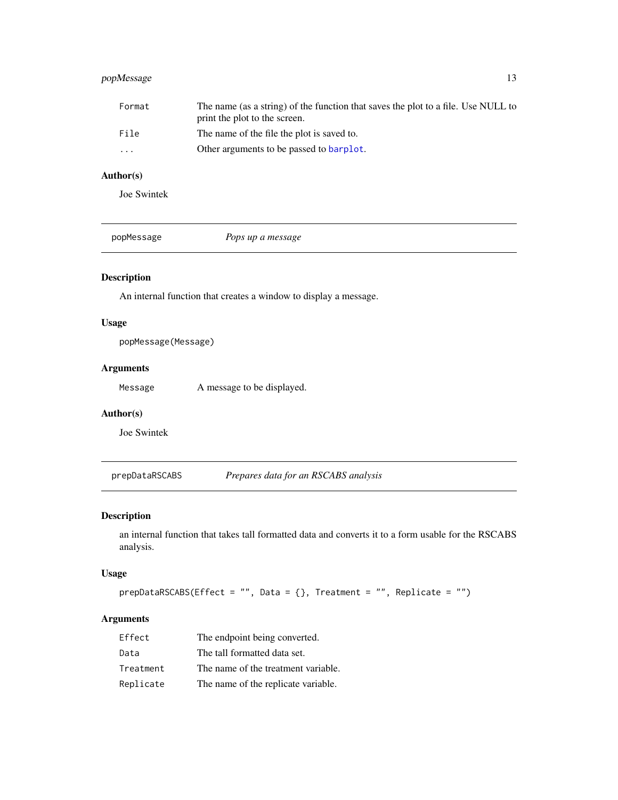# <span id="page-12-0"></span>popMessage 13

| Format   | The name (as a string) of the function that saves the plot to a file. Use NULL to<br>print the plot to the screen. |
|----------|--------------------------------------------------------------------------------------------------------------------|
| File     | The name of the file the plot is saved to.                                                                         |
| $\cdots$ | Other arguments to be passed to barplot.                                                                           |

# Author(s)

Joe Swintek

popMessage *Pops up a message*

# Description

An internal function that creates a window to display a message.

# Usage

popMessage(Message)

# Arguments

Message A message to be displayed.

#### Author(s)

Joe Swintek

prepDataRSCABS *Prepares data for an RSCABS analysis*

# Description

an internal function that takes tall formatted data and converts it to a form usable for the RSCABS analysis.

#### Usage

```
prepDataRSCABS(Effect = "", Data = {}, Treatment = "", Replicate = "")
```
# Arguments

| Effect    | The endpoint being converted.       |
|-----------|-------------------------------------|
| Data      | The tall formatted data set.        |
| Treatment | The name of the treatment variable. |
| Replicate | The name of the replicate variable. |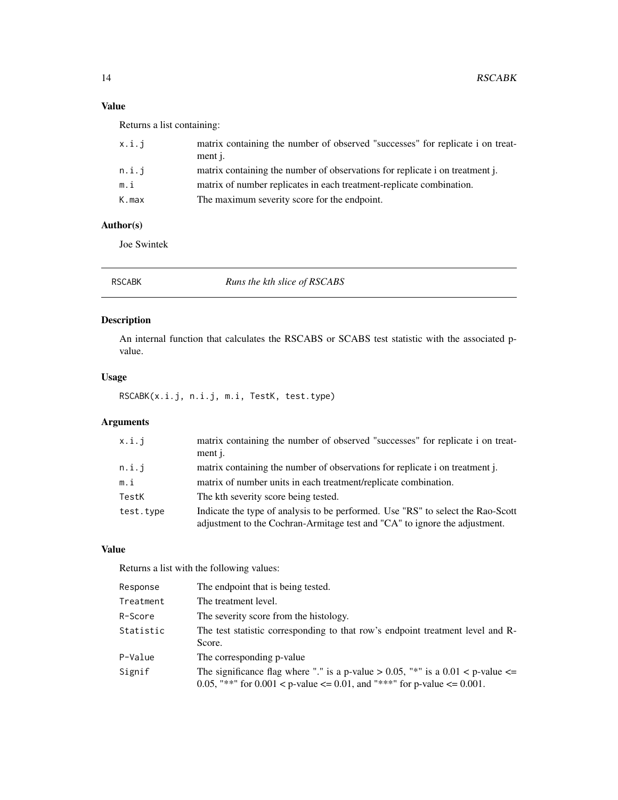# <span id="page-13-0"></span>Value

Returns a list containing:

| x.i.j | matrix containing the number of observed "successes" for replicate i on treat-<br>ment j. |
|-------|-------------------------------------------------------------------------------------------|
| n.i.i | matrix containing the number of observations for replicate i on treatment j.              |
| m.i   | matrix of number replicates in each treatment-replicate combination.                      |
| K.max | The maximum severity score for the endpoint.                                              |
|       |                                                                                           |

# Author(s)

Joe Swintek

RSCABK *Runs the kth slice of RSCABS*

# Description

An internal function that calculates the RSCABS or SCABS test statistic with the associated pvalue.

# Usage

RSCABK(x.i.j, n.i.j, m.i, TestK, test.type)

# Arguments

| x.i.j     | matrix containing the number of observed "successes" for replicate i on treat-<br>ment j.                                                                     |
|-----------|---------------------------------------------------------------------------------------------------------------------------------------------------------------|
| n.i.j     | matrix containing the number of observations for replicate i on treatment j.                                                                                  |
| m.i       | matrix of number units in each treatment/replicate combination.                                                                                               |
| TestK     | The kth severity score being tested.                                                                                                                          |
| test.type | Indicate the type of analysis to be performed. Use "RS" to select the Rao-Scott<br>adjustment to the Cochran-Armitage test and "CA" to ignore the adjustment. |

# Value

Returns a list with the following values:

| Response  | The endpoint that is being tested.                                                                                                                            |
|-----------|---------------------------------------------------------------------------------------------------------------------------------------------------------------|
| Treatment | The treatment level.                                                                                                                                          |
| R-Score   | The severity score from the histology.                                                                                                                        |
| Statistic | The test statistic corresponding to that row's endpoint treatment level and R-<br>Score.                                                                      |
| P-Value   | The corresponding p-value                                                                                                                                     |
| Signif    | The significance flag where "." is a p-value $> 0.05$ , "*" is a 0.01 < p-value <=<br>0.05, "**" for 0.001 < p-value <= 0.01, and "***" for p-value <= 0.001. |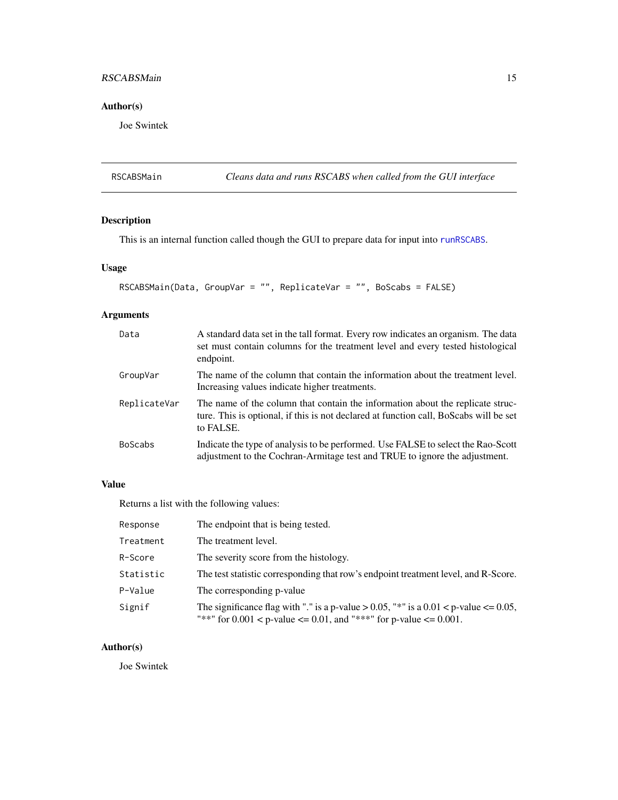# <span id="page-14-0"></span>RSCABSMain 15

# Author(s)

Joe Swintek

# RSCABSMain *Cleans data and runs RSCABS when called from the GUI interface*

# Description

This is an internal function called though the GUI to prepare data for input into [runRSCABS](#page-16-1).

# Usage

```
RSCABSMain(Data, GroupVar = "", ReplicateVar = "", BoScabs = FALSE)
```
# Arguments

| Data           | A standard data set in the tall format. Every row indicates an organism. The data<br>set must contain columns for the treatment level and every tested histological<br>endpoint.     |
|----------------|--------------------------------------------------------------------------------------------------------------------------------------------------------------------------------------|
| GroupVar       | The name of the column that contain the information about the treatment level.<br>Increasing values indicate higher treatments.                                                      |
| ReplicateVar   | The name of the column that contain the information about the replicate struc-<br>ture. This is optional, if this is not declared at function call, BoScabs will be set<br>to FALSE. |
| <b>BoScabs</b> | Indicate the type of analysis to be performed. Use FALSE to select the Rao-Scott<br>adjustment to the Cochran-Armitage test and TRUE to ignore the adjustment.                       |

# Value

Returns a list with the following values:

| Response  | The endpoint that is being tested.                                                                                                                                               |
|-----------|----------------------------------------------------------------------------------------------------------------------------------------------------------------------------------|
| Treatment | The treatment level.                                                                                                                                                             |
| R-Score   | The severity score from the histology.                                                                                                                                           |
| Statistic | The test statistic corresponding that row's endpoint treatment level, and R-Score.                                                                                               |
| P-Value   | The corresponding p-value                                                                                                                                                        |
| Signif    | The significance flag with "." is a p-value $> 0.05$ , "*" is a $0.01 < p$ -value $\le 0.05$ ,<br>"**" for $0.001 < p$ -value $\leq 0.01$ , and "***" for p-value $\leq 0.001$ . |

# Author(s)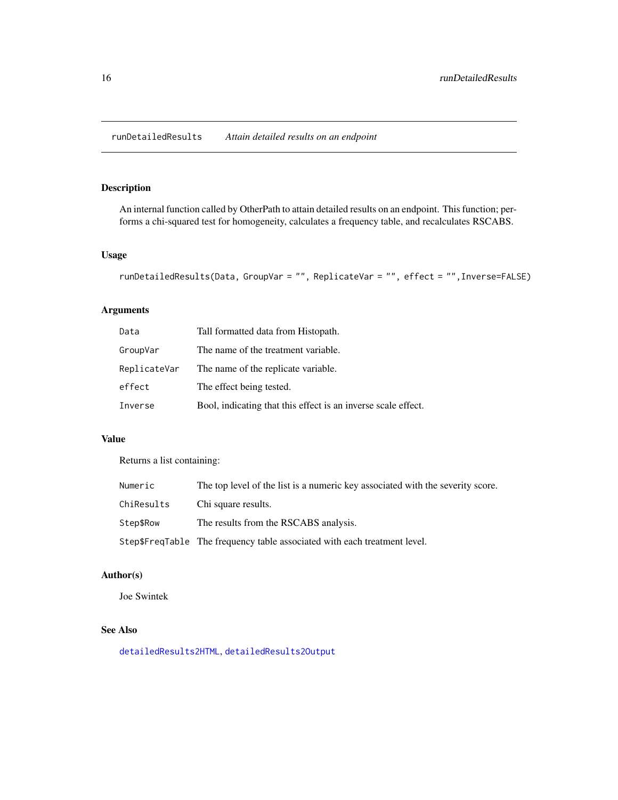<span id="page-15-1"></span><span id="page-15-0"></span>An internal function called by OtherPath to attain detailed results on an endpoint. This function; performs a chi-squared test for homogeneity, calculates a frequency table, and recalculates RSCABS.

# Usage

```
runDetailedResults(Data, GroupVar = "", ReplicateVar = "", effect = "",Inverse=FALSE)
```
# Arguments

| Data         | Tall formatted data from Histopath.                           |
|--------------|---------------------------------------------------------------|
| GroupVar     | The name of the treatment variable.                           |
| ReplicateVar | The name of the replicate variable.                           |
| effect       | The effect being tested.                                      |
| Inverse      | Bool, indicating that this effect is an inverse scale effect. |

# Value

Returns a list containing:

| Numeric    | The top level of the list is a numeric key associated with the severity score. |
|------------|--------------------------------------------------------------------------------|
| ChiResults | Chi square results.                                                            |
| Step\$Row  | The results from the RSCABS analysis.                                          |
|            | Step\$FreqTable The frequency table associated with each treatment level.      |

# Author(s)

Joe Swintek

# See Also

[detailedResults2HTML](#page-5-2), [detailedResults2Output](#page-5-1)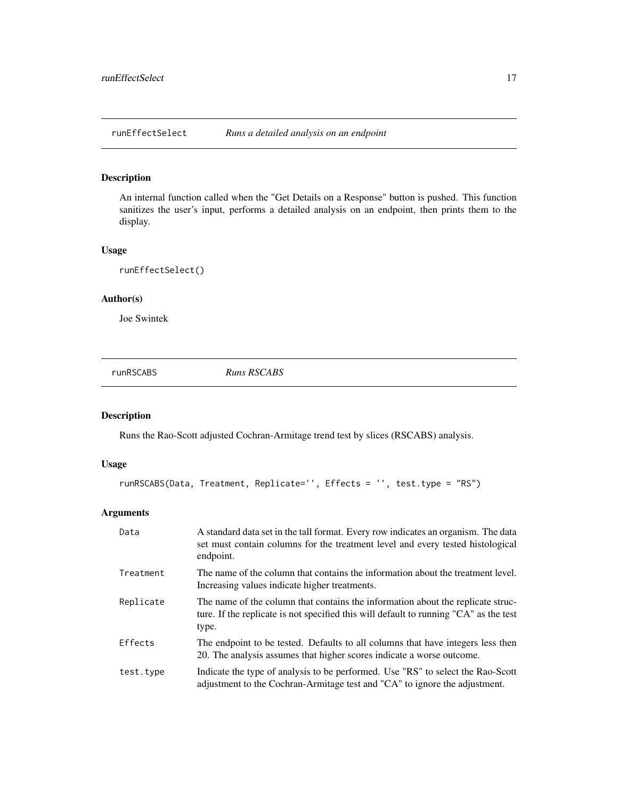<span id="page-16-0"></span>runEffectSelect *Runs a detailed analysis on an endpoint*

# Description

An internal function called when the "Get Details on a Response" button is pushed. This function sanitizes the user's input, performs a detailed analysis on an endpoint, then prints them to the display.

#### Usage

runEffectSelect()

# Author(s)

Joe Swintek

<span id="page-16-1"></span>runRSCABS *Runs RSCABS*

# Description

Runs the Rao-Scott adjusted Cochran-Armitage trend test by slices (RSCABS) analysis.

#### Usage

```
runRSCABS(Data, Treatment, Replicate='', Effects = '', test.type = "RS")
```
# Arguments

| Data      | A standard data set in the tall format. Every row indicates an organism. The data<br>set must contain columns for the treatment level and every tested histological<br>endpoint.  |
|-----------|-----------------------------------------------------------------------------------------------------------------------------------------------------------------------------------|
| Treatment | The name of the column that contains the information about the treatment level.<br>Increasing values indicate higher treatments.                                                  |
| Replicate | The name of the column that contains the information about the replicate struc-<br>ture. If the replicate is not specified this will default to running "CA" as the test<br>type. |
| Effects   | The endpoint to be tested. Defaults to all columns that have integers less then<br>20. The analysis assumes that higher scores indicate a worse outcome.                          |
| test.type | Indicate the type of analysis to be performed. Use "RS" to select the Rao-Scott<br>adjustment to the Cochran-Armitage test and "CA" to ignore the adjustment.                     |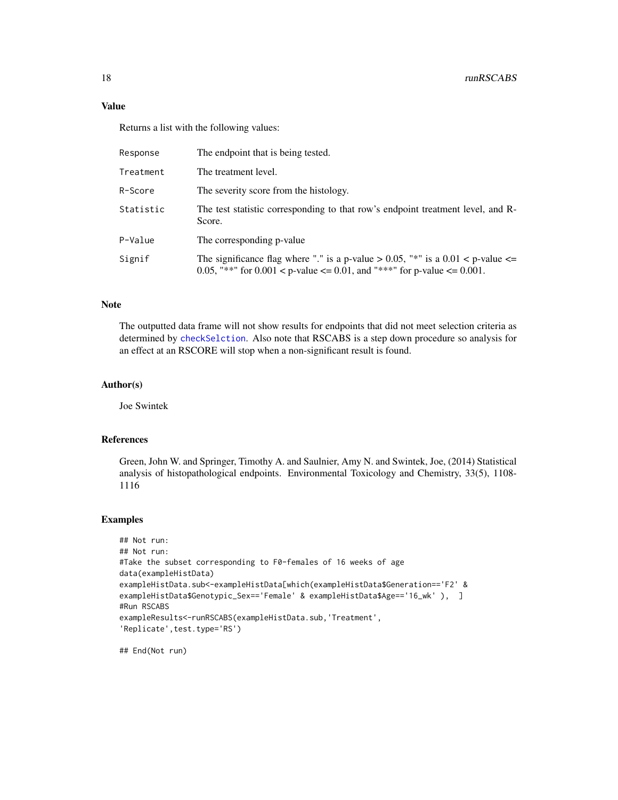#### Value

Returns a list with the following values:

| Response  | The endpoint that is being tested.                                                                                                                                 |
|-----------|--------------------------------------------------------------------------------------------------------------------------------------------------------------------|
| Treatment | The treatment level.                                                                                                                                               |
| R-Score   | The severity score from the histology.                                                                                                                             |
| Statistic | The test statistic corresponding to that row's endpoint treatment level, and R-<br>Score.                                                                          |
| P-Value   | The corresponding p-value                                                                                                                                          |
| Signif    | The significance flag where "." is a p-value $> 0.05$ , "*" is a $0.01 <$ p-value $\le$<br>0.05, "**" for 0.001 < p-value <= 0.01, and "***" for p-value <= 0.001. |

# Note

The outputted data frame will not show results for endpoints that did not meet selection criteria as determined by [checkSelction](#page-4-1). Also note that RSCABS is a step down procedure so analysis for an effect at an RSCORE will stop when a non-significant result is found.

#### Author(s)

Joe Swintek

#### References

Green, John W. and Springer, Timothy A. and Saulnier, Amy N. and Swintek, Joe, (2014) Statistical analysis of histopathological endpoints. Environmental Toxicology and Chemistry, 33(5), 1108- 1116

#### Examples

```
## Not run:
## Not run:
#Take the subset corresponding to F0-females of 16 weeks of age
data(exampleHistData)
exampleHistData.sub<-exampleHistData[which(exampleHistData$Generation=='F2' &
exampleHistData$Genotypic_Sex=='Female' & exampleHistData$Age=='16_wk'), ]
#Run RSCABS
exampleResults<-runRSCABS(exampleHistData.sub,'Treatment',
'Replicate',test.type='RS')
```
## End(Not run)

<span id="page-17-0"></span>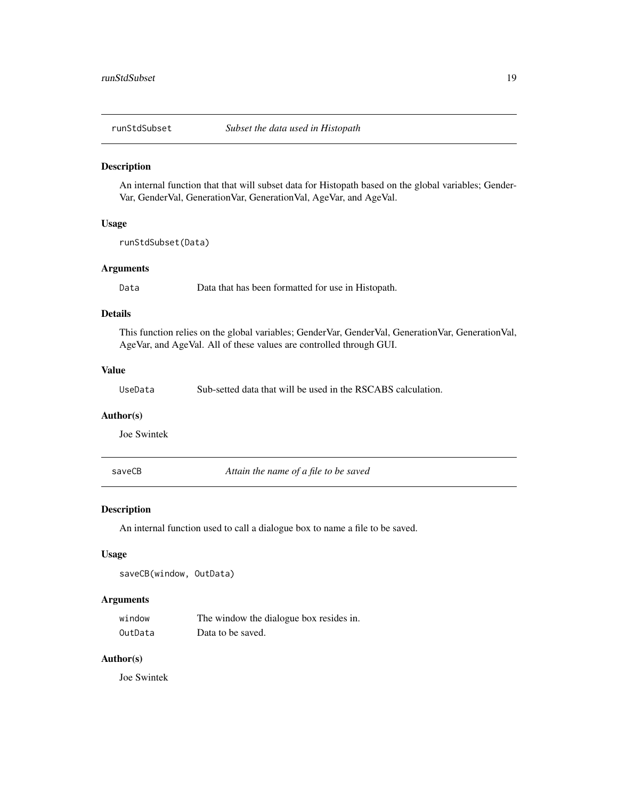<span id="page-18-0"></span>

An internal function that that will subset data for Histopath based on the global variables; Gender-Var, GenderVal, GenerationVar, GenerationVal, AgeVar, and AgeVal.

#### Usage

runStdSubset(Data)

#### Arguments

Data Data that has been formatted for use in Histopath.

#### Details

This function relies on the global variables; GenderVar, GenderVal, GenerationVar, GenerationVal, AgeVar, and AgeVal. All of these values are controlled through GUI.

#### Value

UseData Sub-setted data that will be used in the RSCABS calculation.

#### Author(s)

Joe Swintek

saveCB *Attain the name of a file to be saved*

#### Description

An internal function used to call a dialogue box to name a file to be saved.

#### Usage

```
saveCB(window, OutData)
```
# Arguments

| window  | The window the dialogue box resides in. |
|---------|-----------------------------------------|
| OutData | Data to be saved.                       |

#### Author(s)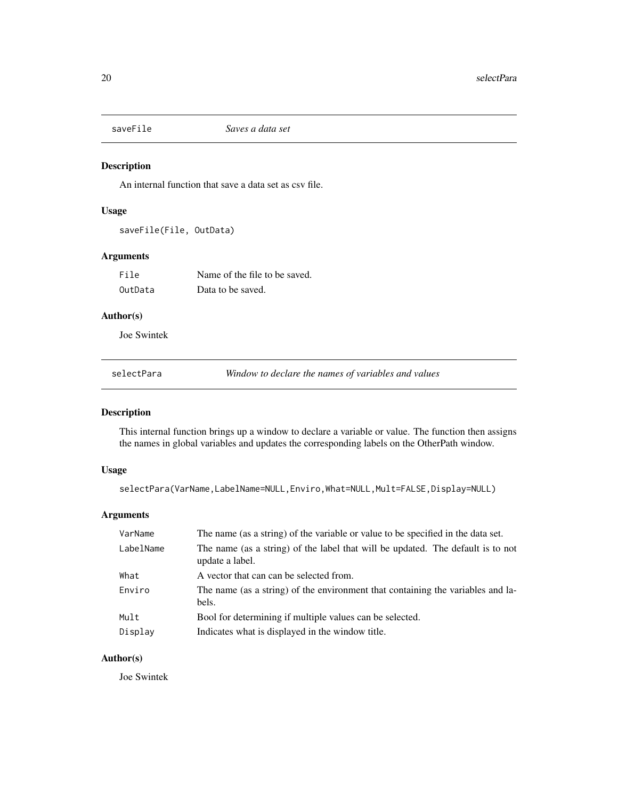<span id="page-19-0"></span>

An internal function that save a data set as csv file.

# Usage

saveFile(File, OutData)

# Arguments

| File    | Name of the file to be saved. |
|---------|-------------------------------|
| OutData | Data to be saved.             |

# Author(s)

Joe Swintek

selectPara *Window to declare the names of variables and values*

# Description

This internal function brings up a window to declare a variable or value. The function then assigns the names in global variables and updates the corresponding labels on the OtherPath window.

#### Usage

```
selectPara(VarName,LabelName=NULL,Enviro,What=NULL,Mult=FALSE,Display=NULL)
```
# Arguments

| VarName   | The name (as a string) of the variable or value to be specified in the data set.                   |
|-----------|----------------------------------------------------------------------------------------------------|
| LabelName | The name (as a string) of the label that will be updated. The default is to not<br>update a label. |
| What      | A vector that can can be selected from.                                                            |
| Enviro    | The name (as a string) of the environment that containing the variables and la-<br>bels.           |
| Mult      | Bool for determining if multiple values can be selected.                                           |
| Display   | Indicates what is displayed in the window title.                                                   |

# Author(s)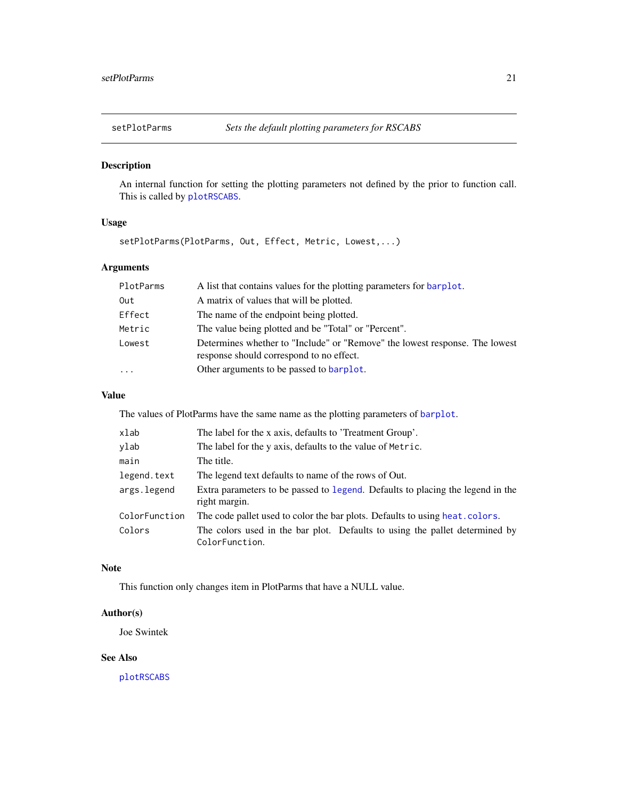<span id="page-20-1"></span><span id="page-20-0"></span>

An internal function for setting the plotting parameters not defined by the prior to function call. This is called by [plotRSCABS](#page-11-1).

# Usage

setPlotParms(PlotParms, Out, Effect, Metric, Lowest,...)

# Arguments

| PlotParms | A list that contains values for the plotting parameters for barplot.                                                    |
|-----------|-------------------------------------------------------------------------------------------------------------------------|
| Out       | A matrix of values that will be plotted.                                                                                |
| Effect    | The name of the endpoint being plotted.                                                                                 |
| Metric    | The value being plotted and be "Total" or "Percent".                                                                    |
| Lowest    | Determines whether to "Include" or "Remove" the lowest response. The lowest<br>response should correspond to no effect. |
| $\ddotsc$ | Other arguments to be passed to barplot.                                                                                |
|           |                                                                                                                         |

# Value

The values of PlotParms have the same name as the plotting parameters of [barplot](#page-0-0).

| xlab          | The label for the x axis, defaults to 'Treatment Group'.                                        |
|---------------|-------------------------------------------------------------------------------------------------|
| ylab          | The label for the y axis, defaults to the value of Metric.                                      |
| main          | The title.                                                                                      |
| legend.text   | The legend text defaults to name of the rows of Out.                                            |
| args.legend   | Extra parameters to be passed to legend. Defaults to placing the legend in the<br>right margin. |
| ColorFunction | The code pallet used to color the bar plots. Defaults to using heat. colors.                    |
| Colors        | The colors used in the bar plot. Defaults to using the pallet determined by<br>ColorFunction.   |

#### Note

This function only changes item in PlotParms that have a NULL value.

# Author(s)

Joe Swintek

# See Also

[plotRSCABS](#page-11-1)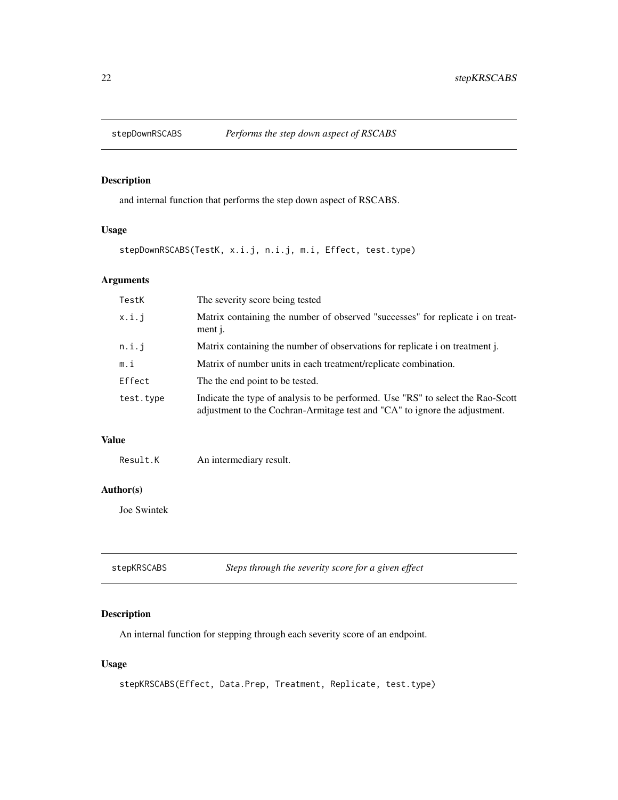<span id="page-21-0"></span>

and internal function that performs the step down aspect of RSCABS.

# Usage

stepDownRSCABS(TestK, x.i.j, n.i.j, m.i, Effect, test.type)

# Arguments

| TestK     | The severity score being tested                                                                                                                               |
|-----------|---------------------------------------------------------------------------------------------------------------------------------------------------------------|
| x.i.j     | Matrix containing the number of observed "successes" for replicate i on treat-<br>ment j.                                                                     |
| n.i.j     | Matrix containing the number of observations for replicate i on treatment j.                                                                                  |
| m.i       | Matrix of number units in each treatment/replicate combination.                                                                                               |
| Effect    | The the end point to be tested.                                                                                                                               |
| test.type | Indicate the type of analysis to be performed. Use "RS" to select the Rao-Scott<br>adjustment to the Cochran-Armitage test and "CA" to ignore the adjustment. |

#### Value

Result.K An intermediary result.

# Author(s)

Joe Swintek

| stepKRSCABS | Steps through the severity score for a given effect |  |
|-------------|-----------------------------------------------------|--|
|-------------|-----------------------------------------------------|--|

# Description

An internal function for stepping through each severity score of an endpoint.

# Usage

```
stepKRSCABS(Effect, Data.Prep, Treatment, Replicate, test.type)
```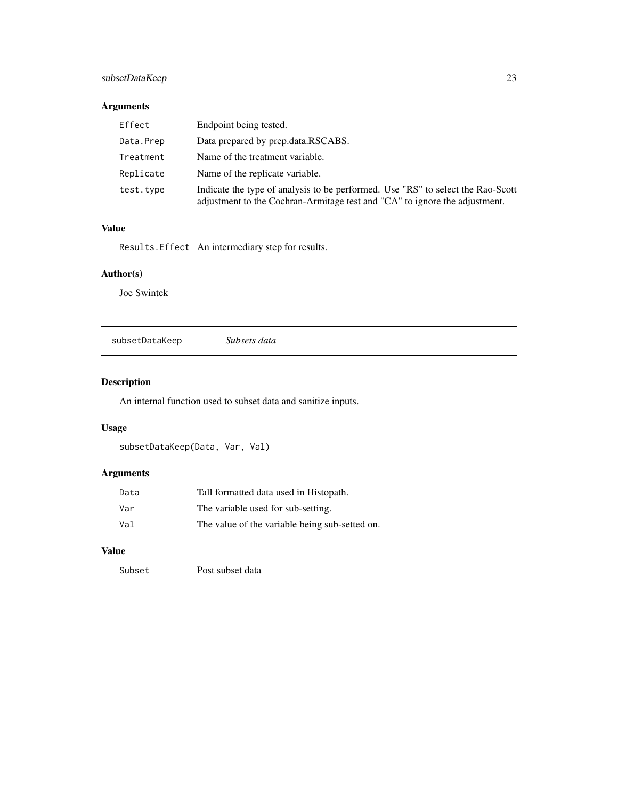# <span id="page-22-0"></span>subsetDataKeep 23

# Arguments

| Effect    | Endpoint being tested.                                                                                                                                        |
|-----------|---------------------------------------------------------------------------------------------------------------------------------------------------------------|
| Data.Prep | Data prepared by prep.data.RSCABS.                                                                                                                            |
| Treatment | Name of the treatment variable.                                                                                                                               |
| Replicate | Name of the replicate variable.                                                                                                                               |
| test.type | Indicate the type of analysis to be performed. Use "RS" to select the Rao-Scott<br>adjustment to the Cochran-Armitage test and "CA" to ignore the adjustment. |

# Value

Results.Effect An intermediary step for results.

# Author(s)

Joe Swintek

subsetDataKeep *Subsets data*

# Description

An internal function used to subset data and sanitize inputs.

# Usage

```
subsetDataKeep(Data, Var, Val)
```
# Arguments

| Data | Tall formatted data used in Histopath.         |
|------|------------------------------------------------|
| Var  | The variable used for sub-setting.             |
| Val  | The value of the variable being sub-setted on. |

# Value

Subset Post subset data